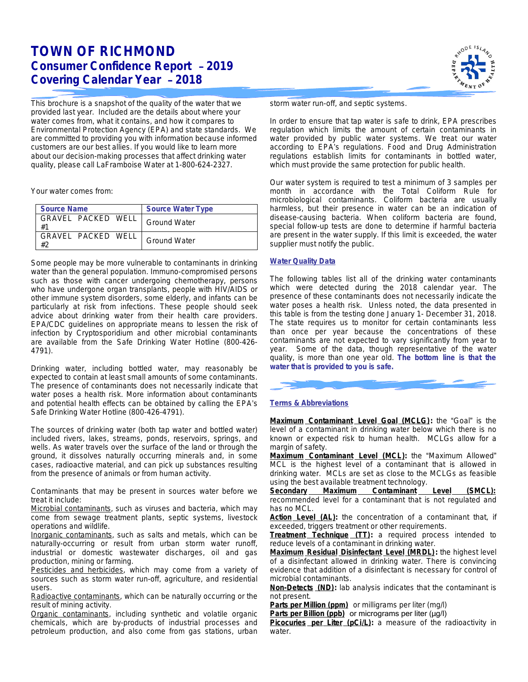# **TOWN OF RICHMOND Consumer Confidence Report** – **2019 Covering Calendar Year** – **2018**

This brochure is a snapshot of the quality of the water that we provided last year. Included are the details about where your water comes from, what it contains, and how it compares to Environmental Protection Agency (EPA) and state standards. We are committed to providing you with information because informed customers are our best allies. If you would like to learn more about our decision-making processes that affect drinking water quality, please call LaFramboise Water at 1-800-624-2327.

Your water comes from:

| <b>Source Name</b>       | <b>Source Water Type</b> |
|--------------------------|--------------------------|
| GRAVEL PACKED WELL<br>#1 | Ground Water             |
| GRAVEL PACKED WELL       | Ground Water             |

Some people may be more vulnerable to contaminants in drinking water than the general population. Immuno-compromised persons such as those with cancer undergoing chemotherapy, persons who have undergone organ transplants, people with HIV/AIDS or other immune system disorders, some elderly, and infants can be particularly at risk from infections. These people should seek advice about drinking water from their health care providers. EPA/CDC guidelines on appropriate means to lessen the risk of infection by *Cryptosporidium* and other microbial contaminants are available from the Safe Drinking Water Hotline (800-426- 4791).

Drinking water, including bottled water, may reasonably be expected to contain at least small amounts of some contaminants. The presence of contaminants does not necessarily indicate that water poses a health risk. More information about contaminants and potential health effects can be obtained by calling the EPA's Safe Drinking Water Hotline (800-426-4791).

The sources of drinking water (both tap water and bottled water) included rivers, lakes, streams, ponds, reservoirs, springs, and wells. As water travels over the surface of the land or through the ground, it dissolves naturally occurring minerals and, in some cases, radioactive material, and can pick up substances resulting from the presence of animals or from human activity.

Contaminants that may be present in sources water before we treat it include:

*Microbial contaminants*, such as viruses and bacteria, which may come from sewage treatment plants, septic systems, livestock operations and wildlife.

*Inorganic contaminants*, such as salts and metals, which can be naturally-occurring or result from urban storm water runoff, industrial or domestic wastewater discharges, oil and gas production, mining or farming.

*Pesticides and herbicides*, which may come from a variety of sources such as storm water run-off, agriculture, and residential users.

*Radioactive contaminants*, which can be naturally occurring or the result of mining activity.

*Organic contaminants*, including synthetic and volatile organic chemicals, which are by-products of industrial processes and petroleum production, and also come from gas stations, urban



storm water run-off, and septic systems.

In order to ensure that tap water is safe to drink, EPA prescribes regulation which limits the amount of certain contaminants in water provided by public water systems. We treat our water according to EPA's regulations. Food and Drug Administration regulations establish limits for contaminants in bottled water, which must provide the same protection for public health.

Our water system is required to test a minimum of 3 samples per month in accordance with the Total Coliform Rule for microbiological contaminants. Coliform bacteria are usually harmless, but their presence in water can be an indication of disease-causing bacteria. When coliform bacteria are found, special follow-up tests are done to determine if harmful bacteria are present in the water supply. If this limit is exceeded, the water supplier must notify the public.

#### **Water Quality Data**

The following tables list all of the drinking water contaminants which were detected during the 2018 calendar year. The presence of these contaminants does not necessarily indicate the water poses a health risk. Unless noted, the data presented in this table is from the testing done January 1- December 31, 2018. The state requires us to monitor for certain contaminants less than once per year because the concentrations of these contaminants are not expected to vary significantly from year to year. Some of the data, though representative of the water quality, is more than one year old. **The bottom line is that the water that is provided to you is safe.**



### **Terms & Abbreviations**

**Maximum Contaminant Level Goal (MCLG):** the "Goal" is the level of a contaminant in drinking water below which there is no known or expected risk to human health. MCLGs allow for a margin of safety.

**Maximum Contaminant Level (MCL):** the "Maximum Allowed" MCL is the highest level of a contaminant that is allowed in drinking water. MCLs are set as close to the MCLGs as feasible using the best available treatment technology.

**Secondary Maximum Contaminant Level (SMCL):** recommended level for a contaminant that is not regulated and has no MCL.

Action Level (AL): the concentration of a contaminant that, if exceeded, triggers treatment or other requirements.

**Treatment Technique (TT):** a required process intended to reduce levels of a contaminant in drinking water.

**Maximum Residual Disinfectant Level (MRDL):** the highest level of a disinfectant allowed in drinking water. There is convincing evidence that addition of a disinfectant is necessary for control of microbial contaminants.

**Non-Detects (ND):** lab analysis indicates that the contaminant is not present.

**Parts per Million (ppm)** or milligrams per liter (mg/l)

Parts per Billion (ppb) or micrograms per liter (µg/l)

**Picocuries per Liter (pCi/L):** a measure of the radioactivity in water.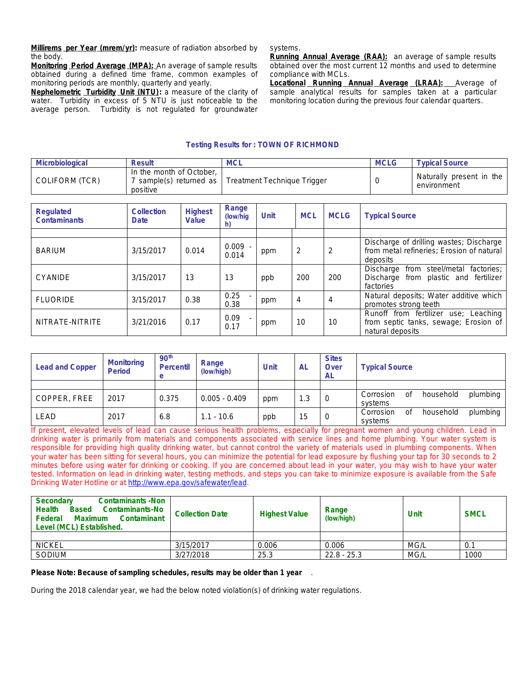**Millirems per Year (mrem/yr):** measure of radiation absorbed by the body.

**Monitoring Period Average (MPA):** An average of sample results obtained during a defined time frame, common examples of monitoring periods are monthly, quarterly and yearly.

**Nephelometric Turbidity Unit (NTU):** a measure of the clarity of water. Turbidity in excess of 5 NTU is just noticeable to the average person. Turbidity is not regulated for groundwater systems.

**Running Annual Average (RAA):** an average of sample results obtained over the most current 12 months and used to determine compliance with MCLs.

**Locational Running Annual Average (LRAA):** Average of sample analytical results for samples taken at a particular monitoring location during the previous four calendar quarters.

#### **Testing Results for : TOWN OF RICHMOND**

| Microbiological | <b>Result</b>                        | <b>MCL</b>                                            | <b>MCLG</b> | <b>Typical Source</b>                   |
|-----------------|--------------------------------------|-------------------------------------------------------|-------------|-----------------------------------------|
| COLIFORM (TCR)  | In the month of October,<br>positive | ' sample(s) returned as   Treatment Technique Trigger |             | Naturally present in the<br>environment |

| Regulated<br><b>Contaminants</b> | <b>Collection</b><br>Date | <b>Highest</b><br>Value | Range<br>(low/hig) | <b>Unit</b> | <b>MCL</b>     | <b>MCLG</b> | <b>Typical Source</b>                                                                             |
|----------------------------------|---------------------------|-------------------------|--------------------|-------------|----------------|-------------|---------------------------------------------------------------------------------------------------|
|                                  |                           |                         |                    |             |                |             |                                                                                                   |
| <b>BARIUM</b>                    | 3/15/2017                 | 0.014                   | $0.009 -$<br>0.014 | ppm         | 2              | 2           | Discharge of drilling wastes; Discharge<br>from metal refineries; Erosion of natural<br>deposits  |
| CYANIDE                          | 3/15/2017                 | 13                      | 13                 | ppb         | 200            | 200         | Discharge from steel/metal factories;<br>Discharge from plastic and fertilizer<br>factories       |
| <b>FLUORIDE</b>                  | 3/15/2017                 | 0.38                    | 0.25<br>0.38       | ppm         | $\overline{4}$ | 4           | Natural deposits; Water additive which<br>promotes strong teeth                                   |
| NITRATE-NITRITE                  | 3/21/2016                 | 0.17                    | 0.09<br>0.17       | ppm         | 10             | 10          | Runoff from fertilizer use; Leaching<br>from septic tanks, sewage; Erosion of<br>natural deposits |

| <b>Lead and Copper</b> | <b>Monitoring</b><br><b>Period</b> | 90 <sup>th</sup><br><b>Percentil</b><br>e | Range<br>(low/high) | <b>Unit</b> | AL  | <b>Sites</b><br>Over<br>AL | <b>Typical Source</b>                    |
|------------------------|------------------------------------|-------------------------------------------|---------------------|-------------|-----|----------------------------|------------------------------------------|
|                        |                                    |                                           |                     |             |     |                            |                                          |
| COPPER, FREE           | 2017                               | 0.375                                     | $0.005 - 0.409$     | ppm         | 1.3 | $\overline{0}$             | plumbing<br>household<br>Corrosion<br>οf |
|                        |                                    |                                           |                     |             |     |                            | systems                                  |
| <b>LEAD</b>            | 2017                               | 6.8                                       | $1.1 - 10.6$        |             | 15  | $\overline{0}$             | household<br>plumbing<br>Corrosion<br>0f |
|                        |                                    |                                           |                     | ppb         |     |                            | systems                                  |

If present, elevated levels of lead can cause serious health problems, especially for pregnant women and young children. Lead in drinking water is primarily from materials and components associated with service lines and home plumbing. Your water system is responsible for providing high quality drinking water, but cannot control the variety of materials used in plumbing components. When your water has been sitting for several hours, you can minimize the potential for lead exposure by flushing your tap for 30 seconds to 2 minutes before using water for drinking or cooking. If you are concerned about lead in your water, you may wish to have your water tested. Information on lead in drinking water, testing methods, and steps you can take to minimize exposure is available from the Safe Drinking Water Hotline or at <http://www.epa.gov/safewater/lead>.

| <b>Contaminants -Non</b><br>Secondary<br><b>Health</b><br>Contaminants-No<br><b>Based</b><br>Federal<br><b>Maximum</b><br>Contaminant<br>Level (MCL) Established. | <b>Collection Date</b> | <b>Highest Value</b> | Range<br>(low/high) | <b>Unit</b> | <b>SMCL</b> |
|-------------------------------------------------------------------------------------------------------------------------------------------------------------------|------------------------|----------------------|---------------------|-------------|-------------|
|                                                                                                                                                                   |                        |                      |                     |             |             |
| <b>NICKEL</b>                                                                                                                                                     | 3/15/2017              | 0.006                | 0.006               | MG/L        | 0.1         |
| SODIUM                                                                                                                                                            | 3/27/2018              | 25.3                 | $22.8 - 25.3$       | MG/L        | 1000        |

#### **Please Note: Because of sampling schedules, results may be older than 1 year** .

During the 2018 calendar year, we had the below noted violation(s) of drinking water regulations.